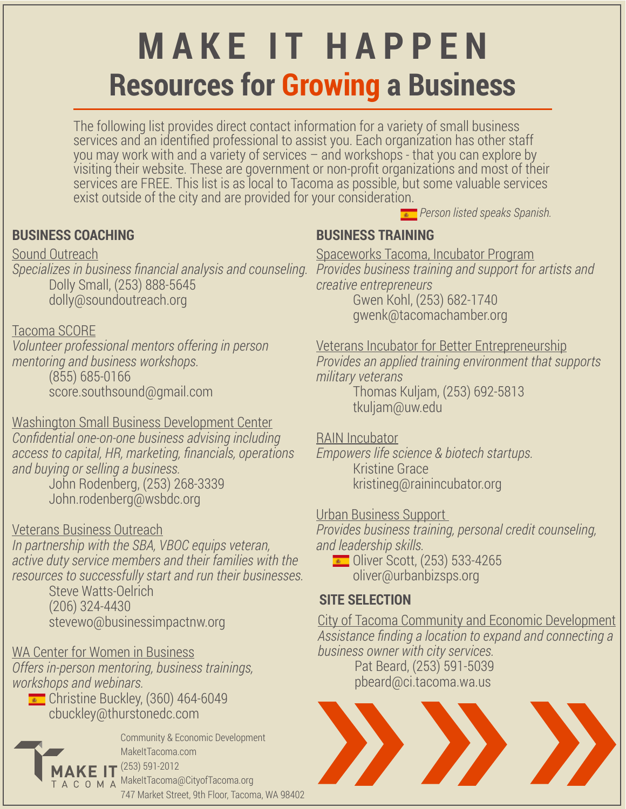# **MAKE IT HAPPEN Resources for Growing a Business**

The following list provides direct contact information for a variety of small business services and an identified professional to assist you. Each organization has other staff you may work with and a variety of services – and workshops - that you can explore by visiting their website. These are government or non-profit organizations and most of their services are FREE. This list is as local to Tacoma as possible, but some valuable services exist outside of the city and are provided for your consideration.

## **BUSINESS COACHING**

Sound Outreach *Specializes in business financial analysis and counseling.* Dolly Small, (253) 888-5645 dolly@soundoutreach.org

#### Tacoma SCORE

*Volunteer professional mentors offering in person mentoring and business workshops.* (855) 685-0166 score.southsound@gmail.com

Washington Small Business Development Center *Confidential one-on-one business advising including access to capital, HR, marketing, financials, operations and buying or selling a business.* John Rodenberg, (253) 268-3339 John.rodenberg@wsbdc.org

Veterans Business Outreach

*In partnership with the SBA, VBOC equips veteran, active duty service members and their families with the resources to successfully start and run their businesses.*

Steve Watts-Oelrich (206) 324-4430 stevewo@businessimpactnw.org

## WA Center for Women in Business

*Offers in-person mentoring, business trainings, workshops and webinars.*

Christine Buckley, (360) 464-6049 cbuckley@thurstonedc.com



Community & Economic Development MakeItTacoma.com (253) 591-2012 MakeItTacoma@CityofTacoma.org 747 Market Street, 9th Floor, Tacoma, WA 98402

# **BUSINESS TRAINING**

Spaceworks Tacoma, Incubator Program *Provides business training and support for artists and creative entrepreneurs* 

*Person listed speaks Spanish.*

Gwen Kohl, (253) 682-1740 gwenk@tacomachamber.org

Veterans Incubator for Better Entrepreneurship *Provides an applied training environment that supports military veterans*

Thomas Kuljam, (253) 692-5813 tkuljam@uw.edu

## RAIN Incubator

*Empowers life science & biotech startups.* Kristine Grace kristineg@rainincubator.org

## Urban Business Support

*Provides business training, personal credit counseling, and leadership skills.*

**•** Oliver Scott, (253) 533-4265 oliver@urbanbizsps.org

## **SITE SELECTION**

City of Tacoma Community and Economic Development *Assistance finding a location to expand and connecting a business owner with city services.* Pat Beard, (253) 591-5039 pbeard@ci.tacoma.wa.us